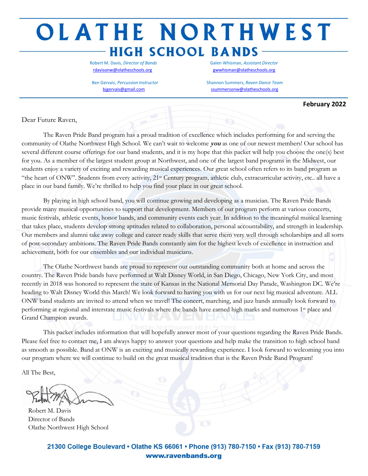# OLATHE NORTHWEST **HIGH SCHOOL BANDS**

[rdavisonw@olatheschools.org](mailto:rdavisonw@olatheschools.org) [gwwhisman@olatheschools.org](mailto:gwwhisman@olatheschools.org)

Robert M. Davis, *Director of Bands* Galen Whisman, *Assistant Director*

Ben Gervais, *Percussion Instructor* **Shannon Summers,** *Raven Dance Team* Shannon Summers, *Raven Dance Team* [bjgervais@gmail.com](mailto:bjgervais@gmail.com) [ssummersonw@olatheschools.org](mailto:ssummersonw@olatheschools.org)

#### **February 2022**

Dear Future Raven,

The Raven Pride Band program has a proud tradition of excellence which includes performing for and serving the community of Olathe Northwest High School. We can't wait to welcome **you** as one of our newest members! Our school has several different course offerings for our band students, and it is my hope that this packet will help you choose the one(s) best for you. As a member of the largest student group at Northwest, and one of the largest band programs in the Midwest, our students enjoy a variety of exciting and rewarding musical experiences. Our great school often refers to its band program as "the heart of ONW". Students from every activity, 21st Century program, athletic club, extracurricular activity, etc.. all have a place in our band family. We're thrilled to help you find your place in our great school.

By playing in high school band, you will continue growing and developing as a musician. The Raven Pride Bands provide many musical opportunities to support that development. Members of our program perform at various concerts, music festivals, athletic events, honor bands, and community events each year. In addition to the meaningful musical learning that takes place, students develop strong aptitudes related to collaboration, personal accountability, and strength in leadership. Our members and alumni take away college and career ready skills that serve them very well through scholarships and all sorts of post-secondary ambitions. The Raven Pride Bands constantly aim for the highest levels of excellence in instruction and achievement, both for our ensembles and our individual musicians.

The Olathe Northwest bands are proud to represent our outstanding community both at home and across the country. The Raven Pride bands have performed at Walt Disney World, in San Diego, Chicago, New York City, and most recently in 2018 was honored to represent the state of Kansas in the National Memorial Day Parade, Washington DC. We're heading to Walt Disney World this March! We look forward to having you with us for our next big musical adventure. ALL ONW band students are invited to attend when we travel! The concert, marching, and jazz bands annually look forward to performing at regional and interstate music festivals where the bands have earned high marks and numerous 1st place and Grand Champion awards.

This packet includes information that will hopefully answer most of your questions regarding the Raven Pride Bands. Please feel free to contact me, I am always happy to answer your questions and help make the transition to high school band as smooth as possible. Band at ONW is an exciting and musically rewarding experience. I look forward to welcoming you into our program where we will continue to build on the great musical tradition that is the Raven Pride Band Program!

All The Best,

 Robert M. Davis Director of Bands Olathe Northwest High School

21300 College Boulevard • Olathe KS 66061 • Phone (913) 780-7150 • Fax (913) 780-7159 www.ravenbands.org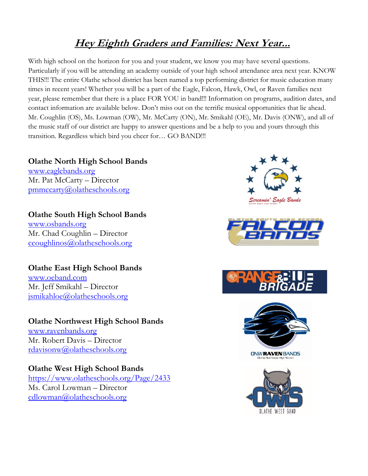# **Hey Eighth Graders and Families: Next Year...**

With high school on the horizon for you and your student, we know you may have several questions. Particularly if you will be attending an academy outside of your high school attendance area next year. KNOW THIS!!! The entire Olathe school district has been named a top performing district for music education many times in recent years! Whether you will be a part of the Eagle, Falcon, Hawk, Owl, or Raven families next year, please remember that there is a place FOR YOU in band!!! Information on programs, audition dates, and contact information are available below. Don't miss out on the terrific musical opportunities that lie ahead. Mr. Coughlin (OS), Ms. Lowman (OW), Mr. McCarty (ON), Mr. Smikahl (OE), Mr. Davis (ONW), and all of the music staff of our district are happy to answer questions and be a help to you and yours through this transition. Regardless which bird you cheer for… GO BAND!!!

### **Olathe North High School Bands** [www.eaglebands.org](http://www.eaglebands.org/) Mr. Pat McCarty – Director [pmmccarty@olatheschools.org](mailto:pmmccarty@olatheschools.org)

**Olathe South High School Bands** [www.osbands.org](http://www.osbands.org/) Mr. Chad Coughlin – Director [ccoughlinos@olatheschools.org](mailto:ccoughlinos@olatheschools.org) 

## **Olathe East High School Bands**

[www.oeband.com](http://www.oeband.com/) Mr. Jeff Smikahl – Director [jsmikahloe@olatheschools.org](mailto:jsmikahloe@olatheschools.org) 

### **Olathe Northwest High School Bands**

[www.ravenbands.org](http://www.ravenbands.org/)  Mr. Robert Davis – Director [rdavisonw@olatheschools.org](mailto:rdavisonw@olatheschools.org)

## **Olathe West High School Bands**

<https://www.olatheschools.org/Page/2433> Ms. Carol Lowman – Director [cdlowman@olatheschools.org](mailto:cdlowman@olatheschools.org) 









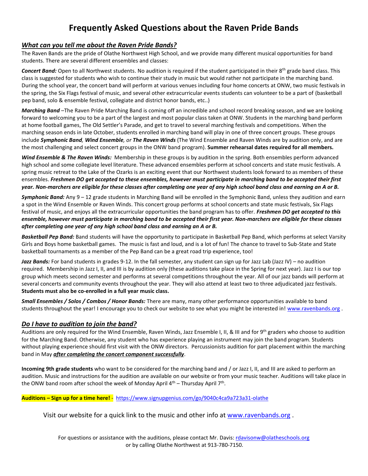# **Frequently Asked Questions about the Raven Pride Bands**

#### *What can you tell me about the Raven Pride Bands?*

The Raven Bands are the pride of Olathe Northwest High School, and we provide many different musical opportunities for band students. There are several different ensembles and classes:

**Concert Band:** Open to all Northwest students. No audition is required if the student participated in their 8<sup>th</sup> grade band class. This class is suggested for students who wish to continue their study in music but would rather not participate in the marching band. During the school year, the concert band will perform at various venues including four home concerts at ONW, two music festivals in the spring, the Six Flags festival of music, and several other extracurricular events students can volunteer to be a part of (basketball pep band, solo & ensemble festival, collegiate and district honor bands, etc..)

*Marching Band* –The Raven Pride Marching Band is coming off an incredible and school record breaking season, and we are looking forward to welcoming you to be a part of the largest and most popular class taken at ONW. Students in the marching band perform at home football games, The Old Settler's Parade, and get to travel to several marching festivals and competitions. When the marching season ends in late October, students enrolled in marching band will play in one of three concert groups. These groups include *Symphonic Band, Wind Ensemble, or The Raven Winds* (The Wind Ensemble and Raven Winds are by audition only, and are the most challenging and select concert groups in the ONW band program). **Summer rehearsal dates required for all members.**

*Wind Ensemble & The Raven Winds:* Membership in these groups is by audition in the spring. Both ensembles perform advanced high school and some collegiate level literature. These advanced ensembles perform at school concerts and state music festivals. A spring music retreat to the Lake of the Ozarks is an exciting event that our Northwest students look forward to as members of these ensembles. *Freshmen DO get accepted to these ensembles, however must participate in marching band to be accepted their first year. Non-marchers are eligible for these classes after completing one year of any high school band class and earning an A or B.* 

*Symphonic Band:* Any 9 – 12 grade students in Marching Band will be enrolled in the Symphonic Band, unless they audition and earn a spot in the Wind Ensemble or Raven Winds. This concert group performs at school concerts and state music festivals, Six Flags festival of music, and enjoys all the extracurricular opportunities the band program has to offer. *Freshmen DO get accepted to this ensemble, however must participate in marching band to be accepted their first year. Non-marchers are eligible for these classes after completing one year of any high school band class and earning an A or B.*

*Basketball Pep Band:* Band students will have the opportunity to participate in Basketball Pep Band, which performs at select Varsity Girls and Boys home basketball games. The music is fast and loud, and is a lot of fun! The chance to travel to Sub-State and State basketball tournaments as a member of the Pep Band can be a great road trip experience, too!

Jazz Bands: For band students in grades 9-12. In the fall semester, any student can sign up for Jazz Lab (Jazz IV) – no audition required. Membership in Jazz I, II, and III is by audition only (these auditions take place in the Spring for next year). Jazz I is our top group which meets second semester and performs at several competitions throughout the year. All of our jazz bands will perform at several concerts and community events throughout the year. They will also attend at least two to three adjudicated jazz festivals. **Students must also be co-enrolled in a full year music class.**

*Small Ensembles / Solos / Combos / Honor Bands:* There are many, many other performance opportunities available to band students throughout the year! I encourage you to check our website to see what you might be interested in! [www.ravenbands.org](http://www.ravenbands.org/).

#### *Do I have to audition to join the band?*

Auditions are only required for the Wind Ensemble, Raven Winds, Jazz Ensemble I, II, & III and for 9<sup>th</sup> graders who choose to audition for the Marching Band. Otherwise, any student who has experience playing an instrument may join the band program. Students without playing experience should first visit with the ONW directors. Percussionists audition for part placement within the marching band in May *after completing the concert component successfully*.

**Incoming 9th grade students** who want to be considered for the marching band and / or Jazz I, II, and III are asked to perform an audition. Music and instructions for the audition are available on our website or from your music teacher. Auditions will take place in the ONW band room after school the week of Monday April  $4<sup>th</sup>$  – Thursday April 7<sup>th</sup>.

#### **Auditions – Sign up for a time here!** - <https://www.signupgenius.com/go/9040c4ca9a723a31-olathe>

Visit our website for a quick link to the music and other info at [www.ravenbands.org](http://www.ravenbands.org/) .

For questions or assistance with the auditions, please contact Mr. Davis: [rdavisonw@olatheschools.org](mailto:rdavisonw@olatheschools.org) or by calling Olathe Northwest at 913-780-7150.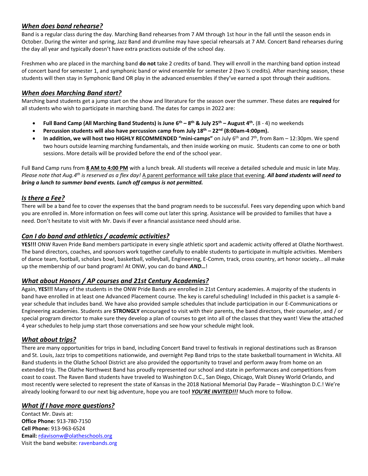#### *When does band rehearse?*

Band is a regular class during the day. Marching Band rehearses from 7 AM through 1st hour in the fall until the season ends in October. During the winter and spring, Jazz Band and drumline may have special rehearsals at 7 AM. Concert Band rehearses during the day all year and typically doesn't have extra practices outside of the school day.

Freshmen who are placed in the marching band **do not** take 2 credits of band. They will enroll in the marching band option instead of concert band for semester 1, and symphonic band or wind ensemble for semester 2 (two ½ credits). After marching season, these students will then stay in Symphonic Band OR play in the advanced ensembles if they've earned a spot through their auditions.

#### *When does Marching Band start?*

Marching band students get a jump start on the show and literature for the season over the summer. These dates are **required** for all students who wish to participate in marching band. The dates for camps in 2022 are:

- **Full Band Camp (All Marching Band Students) is June 6 th – 8 th & July 25 th – August 4 th .** (8 4) no weekends
- **Percussion students will also have percussion camp from July 18th – 22nd (8:00am-4:00pm).**
- **In addition, we will host two HIGHLY RECOMMENDED "mini-camps"** on July 6 th and 7 th, from 8am 12:30pm. We spend two hours outside learning marching fundamentals, and then inside working on music. Students can come to one or both sessions. More details will be provided before the end of the school year.

Full Band Camp runs from **8 AM to 4:00 PM** with a lunch break. All students will receive a detailed schedule and music in late May. Please note that Aug.4<sup>th</sup> is reserved as a flex day! <u>A parent performance will take place that evening</u>. **All band students will need to** *bring a lunch to summer band events. Lunch off campus is not permitted.* 

#### *Is there a Fee?*

There will be a band fee to cover the expenses that the band program needs to be successful. Fees vary depending upon which band you are enrolled in. More information on fees will come out later this spring. Assistance will be provided to families that have a need. Don't hesitate to visit with Mr. Davis if ever a financial assistance need should arise.

#### *Can I do band and athletics / academic activities?*

**YES!!!** ONW Raven Pride Band members participate in every single athletic sport and academic activity offered at Olathe Northwest. The band directors, coaches, and sponsors work together carefully to enable students to participate in multiple activities. Members of dance team, football, scholars bowl, basketball, volleyball, Engineering, E-Comm, track, cross country, art honor society… all make up the membership of our band program! At ONW, you can do band *AND***…**!

#### *What about Honors / AP courses and 21st Century Academies?*

Again, **YES!!!** Many of the students in the ONW Pride Bands are enrolled in 21st Century academies. A majority of the students in band have enrolled in at least one Advanced Placement course. The key is careful scheduling! Included in this packet is a sample 4 year schedule that includes band. We have also provided sample schedules that include participation in our E-Communications or Engineering academies. Students are **STRONGLY** encouraged to visit with their parents, the band directors, their counselor, and / or special program director to make sure they develop a plan of courses to get into all of the classes that they want! View the attached 4 year schedules to help jump start those conversations and see how your schedule might look.

#### *What about trips?*

There are many opportunities for trips in band, including Concert Band travel to festivals in regional destinations such as Branson and St. Louis, Jazz trips to competitions nationwide, and overnight Pep Band trips to the state basketball tournament in Wichita. All Band students in the Olathe School District are also provided the opportunity to travel and perform away from home on an extended trip. The Olathe Northwest Band has proudly represented our school and state in performances and competitions from coast to coast. The Raven Band students have traveled to Washington D.C., San Diego, Chicago, Walt Disney World Orlando, and most recently were selected to represent the state of Kansas in the 2018 National Memorial Day Parade – Washington D.C.! We're already looking forward to our next big adventure, hope you are too**!** *YOU'RE INVITED!!!* Much more to follow.

#### *What if I have more questions?*

Contact Mr. Davis at: **Office Phone:** 913-780-7150 **Cell Phone:** 913-963-6524 **Email:** [rdavisonw@olatheschools.org](mailto:rdavisonw@olatheschools.org) Visit the band website: ravenbands.org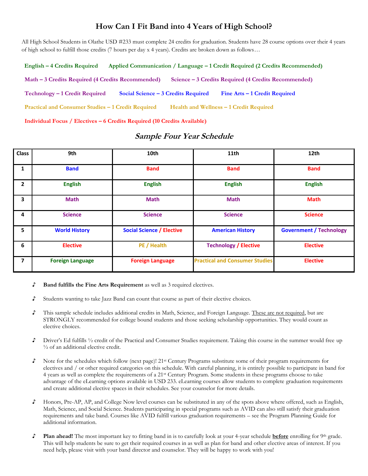### **How Can I Fit Band into 4 Years of High School?**

All High School Students in Olathe USD #233 must complete 24 credits for graduation. Students have 28 course options over their 4 years of high school to fulfill those credits (7 hours per day x 4 years). Credits are broken down as follows…

 **English – 4 Credits Required Applied Communication / Language – 1 Credit Required (2 Credits Recommended) Math – 3 Credits Required (4 Credits Recommended) Science – 3 Credits Required (4 Credits Recommended) Technology – 1 Credit Required Social Science – 3 Credits Required Fine Arts – 1 Credit Required Practical and Consumer Studies – 1 Credit Required Health and Wellness – 1 Credit Required Individual Focus / Electives – 6 Credits Required (10 Credits Available)**

| <b>Class</b>   | 9th                     | 10th                             | 11th                                  | 12th                           |
|----------------|-------------------------|----------------------------------|---------------------------------------|--------------------------------|
| 1              | <b>Band</b>             | <b>Band</b>                      | <b>Band</b>                           | <b>Band</b>                    |
| $\mathbf{2}$   | <b>English</b>          | <b>English</b>                   | <b>English</b>                        | <b>English</b>                 |
| 3              | <b>Math</b>             | <b>Math</b>                      | <b>Math</b>                           | <b>Math</b>                    |
| 4              | <b>Science</b>          | <b>Science</b>                   | <b>Science</b>                        | <b>Science</b>                 |
| 5              | <b>World History</b>    | <b>Social Science / Elective</b> | <b>American History</b>               | <b>Government / Technology</b> |
| 6              | <b>Elective</b>         | PE / Health                      | <b>Technology / Elective</b>          | <b>Elective</b>                |
| $\overline{ }$ | <b>Foreign Language</b> | <b>Foreign Language</b>          | <b>Practical and Consumer Studies</b> | <b>Elective</b>                |

#### **Sample Four Year Schedule**

- ♪ **Band fulfills the Fine Arts Requirement** as well as 3 required electives.
- ♪ Students wanting to take Jazz Band can count that course as part of their elective choices.
- ♪ This sample schedule includes additional credits in Math, Science, and Foreign Language. These are not required, but are STRONGLY recommended for college bound students and those seeking scholarship opportunities. They would count as elective choices.
- ♪ Driver's Ed fulfills ½ credit of the Practical and Consumer Studies requirement. Taking this course in the summer would free up ½ of an additional elective credit.
- ♪ Note for the schedules which follow (next page)! 21st Century Programs substitute some of their program requirements for electives and / or other required categories on this schedule. With careful planning, it is entirely possible to participate in band for 4 years as well as complete the requirements of a 21st Century Program. Some students in these programs choose to take advantage of the eLearning options available in USD 233. eLearning courses allow students to complete graduation requirements and create additional elective spaces in their schedules. See your counselor for more details.
- ♪ Honors, Pre-AP, AP, and College Now level courses can be substituted in any of the spots above where offered, such as English, Math, Science, and Social Science. Students participating in special programs such as AVID can also still satisfy their graduation requirements and take band. Courses like AVID fulfill various graduation requirements – see the Program Planning Guide for additional information.
- **Plan ahead!** The most important key to fitting band in is to carefully look at your 4-year schedule **before** enrolling for 9th grade. This will help students be sure to get their required courses in as well as plan for band and other elective areas of interest. If you need help, please visit with your band director and counselor. They will be happy to work with you!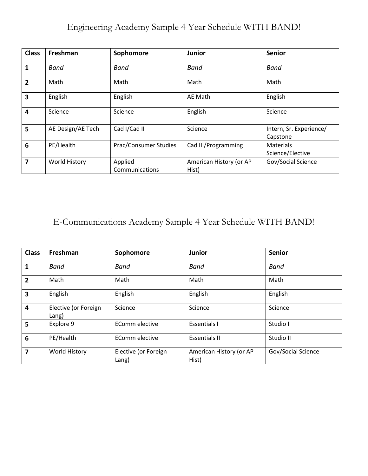# Engineering Academy Sample 4 Year Schedule WITH BAND!

| <b>Class</b>    | Freshman          | Sophomore                 | <b>Junior</b>                    | <b>Senior</b>                        |
|-----------------|-------------------|---------------------------|----------------------------------|--------------------------------------|
| 1               | Band              | Band                      | <b>Band</b>                      | <b>Band</b>                          |
| $\overline{2}$  | Math              | Math                      | Math                             | Math                                 |
| 3               | English           | English                   | AE Math                          | English                              |
| 4               | Science           | Science                   | English                          | Science                              |
| 5               | AE Design/AE Tech | Cad I/Cad II              | Science                          | Intern, Sr. Experience/<br>Capstone  |
| $6\phantom{1}6$ | PE/Health         | Prac/Consumer Studies     | Cad III/Programming              | <b>Materials</b><br>Science/Elective |
| 7               | World History     | Applied<br>Communications | American History (or AP<br>Hist) | Gov/Social Science                   |

# E-Communications Academy Sample 4 Year Schedule WITH BAND!

| <b>Class</b>   | Freshman                      | Sophomore                     | Junior                           | <b>Senior</b>      |
|----------------|-------------------------------|-------------------------------|----------------------------------|--------------------|
| 1              | <b>Band</b>                   | Band                          | <b>Band</b>                      | <b>Band</b>        |
| $\overline{2}$ | Math                          | Math                          | Math                             | Math               |
| 3              | English                       | English                       | English                          | English            |
| 4              | Elective (or Foreign<br>Lang) | Science                       | Science                          | Science            |
| 5              | Explore 9                     | EComm elective                | <b>Essentials I</b>              | Studio I           |
| 6              | PE/Health                     | EComm elective                | <b>Essentials II</b>             | Studio II          |
| 7              | <b>World History</b>          | Elective (or Foreign<br>Lang) | American History (or AP<br>Hist) | Gov/Social Science |